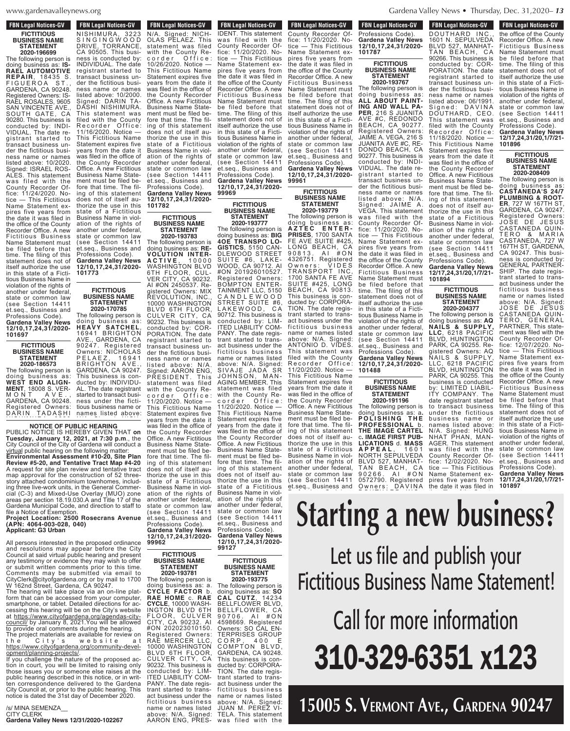$PWS. O19$  $\mathcal{L}$ 

# **FBN Legal Notices-GV FICTITIOUS BUSINESS NAME STATEMENT**

**2020-196699** The following person is doing business as: **IS-RAEL AUTOMOTIVE REPAIR**, 18435 S. FIGUEROA ST., GARDENA, CA 90248. Registered Owners: IS-RAEL ROSALES, 9605 SAN VINCENTE AVE., SOUTH GATE, CA 90280. This business is conducted by: INDI-VIDUAL. The date registrant started to transact business under the fictitious business name or names listed above: 10/2020. Signed: ISRAEL ROS-<br>ALES. This statement ALES. This statement was filed with the County Recorder Office: 11/24/2020. Notice — This Fictitious Name Statement expires five years from the date it was filed in the office of the County Recorder Office. A new Fictitious Business Name Statement must be filed before that time. The filing of this statement does not of itself authorize the use in this state of a Fictitious Business Name in violation of the rights of another under federal, state or common law (see Section 1441 et.seq., Business and Professions Code). **Gardena Valley News 12/10,17,24,31/2020-**

Business Name in violation of the rights of another under federal, state or common law (see Section 14411

**FICTITIOUS**

**STATEMENT 2020-170785**

**101773**

**FICTITIOUS BUSINESS NAME STATEMENT 2020-186573**

**101697**

The following person is doing business as: **WEST END ALIGN-MENT**, 18008 S. VER-M O N T A V E . , M O N T A V E.,<br>GARDENA, CA 90248. Registered Owners: T A D A S H I

#### **NOTICE OF PUBLIC HEARING** NISHIMURA, 3223 **NOTICE OF PI** N/A. Signed: NICH-**ILIC HEARING**

PUBLIC NOTICE IS HEREBY GIVEN THAT on **Tuesday, January 12, 2021, at 7:30 p.m**., the City Council of the City of Gardena will conduct a virtual public hearing on the following matter: Tuesday, January 12. City Council of the City 021, at 7:30 p.m., the Gardena will conduct a

**Environmental Assessment #10-20, Site Plan Review #5-20, and Tentative Tract Map #4-20** A request for site plan review and tentative tract map approval for the construction of 52 threestory attached condominium townhomes, including three live-work units, in the General Commercial (C-3) and Mixed-Use Overlay (MUO) zone areas per section 18.19.030.A and Title 17 of the Gardena Municipal Code, and direction to staff to A request for site plan map approval for the cial (C-3) and Mixed-U areas per section 18.19 file a Notice of Exemptio view and tentative tract nstruction of 52 three-B Overlay (MUO) zone 30.A and Tìtle 17<sup>'</sup> of the ing of this statement

#### file a Notice of Exemption. **Project Location: 2500 Rosecrans Avenue (APN: 4064-003-028, 040)** Applicant: G3 Urban Project Location: 25 (APN: 4064-003-028, **D** Rosecrans Avenue  $\left(40\right)$ state of a Fictitious

All persons interested in the proposed ordinance and resolutions may appear before the City Council at said virtual public hearing and present any testimony or evidence they may wish to offer or submit written comments prior to this time. Comments may be submitted via email to CityClerk@cityofgardena.org or by mail to 1700 W 162nd Street, Gardena, CA 90247. years from the date it is a strong the date in and resolutions may Council at said virtual p or submit written com Comments may be a CityClerk@cityofgarder W 162nd Street, Garde pear before the City lic hearing and present ents prior to this time. bmitted via email **Gardby mail to 1700 12, 12, 20247.** 

The hearing will take place via an on-line platform that can be accessed from your computer, smartphone, or tablet. Detailed directions for accessing this hearing will be on the City's website at https://www.cityofgardena.org/agendas-citycouncil/ by January 8, 2021. You will be allowed to provide oral comments during the hearing. The project materials are available for review on The hearing will take p smartphone, or tablet. I cessing this hearing wil to provide oral commer **1ce via a** 

the City's website at https://www.cityofgardena.org/community-devel-**Gardena Valley News** opment/planning-projects/. The project materials a the City's opment/planning-projeo

If you challenge the nature of the proposed action in court, you will be limited to raising only those issues you or someone else raises at the public hearing described in this notice, or in written correspondence delivered to the Gardena City Council at, or prior to the public hearing. This notice is dated the 31st day of December 2020. **If** you c

/s/ MINA SEMENZA\_\_ CITY CLERK **Gardena Valley News 12/31/2020-102267**

**FBN Legal Notices-GV PER LEGAL MULLES-CIV** NISHIMURA, 3223 S I N G I N G W O O D DRIVE, TORRANCE, CA 90505. This busiis conducted by: INDIVIDUAL. The date registrant started to transact business under the fictitious business name or names listed above: 10/2000. Signed: DARIN TA-DASHI NISHIMURA. This statement was filed with the County<br>Recorder Office: Recorder Office: 11/16/2020. Notice — This Fictitious Name Statement expires five years from the date it was filed in the office of the County Recorder Office. A new Fictitious Business Name Statement must be filed before that time. The filing of this statement does not of itself authorize the use in this state of a Fictitious **FBN Legal Notices-GV FON LEGAL NULLES-GV** N/A. Signed: NICH-<br>OLAS PELAEZ. This statement was filed with the County Recorder Office: 10/26/2020. Notice — This Fictitious Name Statement expires five years from the date it was filed in the office of the County Recorder Office. A néw Fictitious Business Name Statement must be filed before that time. The filing of this statement does not of itself authorize the use in this state of a Fictitious Business Name in violation of the rights of another under federal, state or common law (see Section 14411 et.seq., Business and Professions Code). **Gardena Valley News 12/10,17,24,31/2020- 101782**

**FICTITIOUS BUSINESS NAME STATEMENT 2020-193783**

et.seq., Business and Professions Code). **Gardena Valley News 12/10,17,24,31/2020- BUSINESS NAME** The following person is doing business as: **HEAVY SATCHEL**, 16941 BRIGHTON AVE., GARDENA, CA 90247. Registered Owners: NICHOLAS P E L A E Z , 1 6 9 4 1 BRIGHTON AVE., GARDENA, CA 90247. This business is conducted by: INDIVIDU-AL. The date registrant started to transact business under the fictitious business name or names listed above: The following person is doing business as: **RE-VOLUTION INTER-A C T I V E** , 1 0 0 0 0 WASHINGTON BLVD 6TH FLOOR, CUL-VER CITY, CA 90232. AI #ON 2450537. Registered Owners: MIX REVOLUTION, INC., 10000 WASHINGTON BLVD 6TH FLOOR, CULVER CITY, CA 90232. This business is conducted by: COR-PORATION. The date registrant started to transact business under the fictitious business name or names listed above: N/A. Signed: AARON ENG, PŘESIDENT. This statement was filed with the County Recorder Office: 11/20/2020. Notice — This Fictitious Name Statement expires five years from the date it was filed in the office of the County Recorder Office. A new Fictitious Business Name Statement must be filed before that time. The filing of this statement does not of itself authorize the use in this state of a Fictitious Business Name in violation of the rights of another under federal, state or common law (see Section 14411 et.seq., Business and Professions Code).

> **Gardena Valley News 12/10,17,24,31/2020- 99962**

> > **FICTITIOUS BUSINESS NAME STATEMENT 2020-193781**

The following person is doing business as: a. **CYCLE FACTOR** b. **RAE HOME** c. **RAE CYCLE**, 10000 WASH-INGTON BLVD 6TH FLOOR, CULVER CITY, CA 90232. AI #ON 202023010150. Registered Owners: RAE MERCER LLC, 10000 WASHINGTON BLVD 6TH FLOOR, CULVER CITY, CA 90232. This business is conducted by: LIM-ITED LIABILITY COM-PANY. The date registrant started to transact business under the fictitious business name or names listed above: N/A. Signed: AARON ENG, PRES-<br>'

**FBN Legal Notices-GV FIN LEGAL NULLES-GV** IDENT. This statement was filed with the County Recorder Office: 11/20/2020. Notice — This Fictitious Name Statement expires five years from the date it was filed in the office of the County Recorder Office. A new Fictitious Business Name Statement must be filed before that time. The filing of this statement does not of itself authorize the use in this state of a Fictitious Business Name in violation of the rights of another under federal, state or common law (see Section 14411 et.seq., Business and Professions Code). **Gardena Valley News 12/10,17,24,31/2020- 99969**

**FICTITIOUS BUSINESS NAME STATEMENT**

**2020-193777** The following person is doing business as: **BIG 4OE TRANSPO LO-GISTICS**, 5150 CAN-DLEWOOD STREET SUITE #6, LAKE-WOOD, CA 90712. AI #ON 201926010527. Registered Owners: BOMPTON ENTER-TAINMENT LLC, 5150 C A N D L E W O O D STREET SUITE #6, LAKEWOOD, CA 90712. This business is conducted by: LIM-ITED LIABILITY COM-PANY. The date registrant started to transact business under the fictitious business name or names listed above: N/A. Signed: SIVAJE JADA SR JOHNSON, MAN-AGING MEMBER. This statement was filed with the County Recorder Office: 11/20/2020. Notice — This Fictitious Name Statement expires five years from the date it was filed in the office of the County Recorder Office. A new Fictitious Business Name Statement must be filed before that time. The filing of this statement does not of itself authorize the use in this state of a Fictitious Business Name in violation of the rights of another under federal, state or common law (see Section 14411 et.seq., Business and Professions Code). **Gardena Valley News 12/10,17,24,31/2020-**

> **FICTITIOUS BUSINESS NAME STATEMENT 2020-193775**

**99127**

The following person is doing business as: **SO CAL CUTZ**, 14234 BELLFLOWER BLVD, BELLFLOWER, CA 9 0 7 0 6 . A I # O N 4598669. Registered Owners: SO CAL EN-TERPRISES GROUP C O R P , 400 E COMPTON BLVD, GARDENA, CA 90248. This business is conducted by: CORPORA-TION. The date registrant started to transact business under the fictitious business name or names listed above: N/A. Signed: JUAN M. PEREZ VI-TELA. This statement<br>was filed with the

**FBN Legal Notices-GV** County Recorder Office: 11/20/2020. Notice — This Fictitious Name Statement expires five years from the date it was filed in the office of the County Recorder Office. A new Fictitious Business Name Statement must be filed before that time. The filing of this statement does not of itself authorize the use in this state of a Fictitious Business Name in violation of the rights of another under federal, state or common law (see Section 14411 et.seq., Business and

**FICTITIOUS BUSINESS NAME**

**2020-193779** The following person is doing business as: **A Z T E C E N T E R - PRISES**, 1700 SANTA FE AVE SUITE #425, LONG BEACH, CA 90813. AI #ON 4326751. Registered Owners: VIDES **OWNERS: VIDES**<br>TRANSPORT INC 1700 SANTA FE AVE SUITE #425, LONG BEACH, CA 90813. This business is conducted by: CORPORA-TION. The date registrant started to transact business under the fictitious business name or names listed above: N/A. Signed: ANTONIO D. VIDES. This statement was filed with the County Recorder Office: 11/20/2020. Notice — This Fictitious Name Statement expires five years from the date it was filed in the office of the County Recorder Office. A new Fictitious Business Name Statement must be filed before that time. The filing of this statement does not of itself authorize the use in this state of a Fictitious Business Name in violation of the rights of another under federal, state or common law (see Section 14411 et.seq., Business and

**FICTITIOUS BUSINESS NAME STATEMENT 2020-193767**

The following person is doing business as: **ALL ABOUT PAINT-ING AND WALL PA-PER**, 216 S JUANITA AVE #C, REDONDO BEACH, CA 90277. Registered Owners: JAIME A. VEGA, 216 S JUANITA AVE #C, RE-DONDO BEACH, CA 90277. This business is conducted by: INDI-VIDUAL. The date registrant started to transact business under the fictitious business name or names listed above: N/A. Signed: JAIME A. VEGA. This statement was filed with the County Recorder Of-Soum, 120/2020. No-<br>fice: 11/20/2020. No-<br>tice — This Fictitious - This Fictitious Name Statement expires five years from the date it was filed in the office of the County Recorder Office. A new Fictitious Business Name Statement must be filed before that time. The filing of this statement does not of itself authorize the use in this state of a Fictitious Business Name in violation of the rights of another under federal, state or common law (see Section 14411 et.seq., Business and Professions Code). **Gardena Valley News 12/10,17,24,31/2020- 101488 FICTITIOUS**

# **BUSINESS NAME STATEMENT 2020-191196**

The following person is doing business as: a**. P O L I S H I N G T H E PROFESSIONAL** b. **THE IMAGE CARTEL** c**. IMAGE FIRST PUB-LICATIONS** d. **MASS A P P E A L** , 1 6 0 1 NORTH SEPULVEDA BLVD 527, MANHAT-TAN BEACH, CA 9 0 2 6 6 . A I # O N 0572790. Registered Owners: DAVINA

**FBN Legal Notices-GV TEN LEYAL NULLES-UV** DOUTHARD INC.,<br>1601 N. SEPULVEDA BLVD 527, MANHAT-TAN BEACH, CA 90266. This business is conducted by: COR-PORATION. The date registrant started to transact business under the fictitious business name or names listed above: 06/1991. Signed: DAVINA DOUTHARD, CEO. This statement was filed with the County Recorder Office: 11/18/2020. Notice — This Fictitious Name Statement expires five years from the date it was filed in the office of the County Recorder Office. A new Fictitious Business Name Statement must be filed before that time. The filing of this statement does not of itself authorize the use in this state of a Fictitious Business Name in violation of the rights of another under federal, state or common law (see Section 14411 et.seq., Business and Professions Code). **Gardena Valley News**

**12/17,24,31/20,1/7/21-**

**FICTITIOUS BUSINESS NAME STATEMENT 2020-204377** The following person is doing business as: **AQ NAILS & SUPPLY, LLC**, 6218 PACIFIC BLVD, HUNTINGTON PARK, CA 90255. Registered Owners: AQ NAILS & SUPPLY, LLC, 6218 PACIFIC BLVD, HUNTINGTON PARK, CA 90255. This business is conducted by: LIMITED LIABIL-ITY COMPANY. The date registrant started to transact business under the fictitious

**101894**

**business** 

names listed above: N/A. Signed: HUNG NHAT PHAN, MAN-AGER. This statement was filed with the County Recorder Office: 12/02/2020. Notice — This Fictitious Name Statement expires five years from the date it was filed in

**FBN Legal Notices-GV THE DATE CALCULATE IN EXAMPLE 25 IN EXAMPLE 25 IN EXAMPLE 25 IN EXAMPLE 25 IN EXAMPLE 25 IN EXAMPLE 25 IN EXAMPLE 25 IN EXAMPLE 25 IN EXAMPLE 25 IN EXAMPLE 25 IN EXAMPLE 25 IN EXAMPLE 25 IN EXAMPLE 25 IN EXAMPLE 25 IN EXA** the office of the County Recorder Office. A new Fictitious Business Name Statement must be filed before time. The filing of this statement does not of itself authorize the use in this state of a Fictitious Business Name in violation of the rights of another under federal, state or common law (see Section 14411 et.seq., Business and

Professions Code). **Gardena Valley News 12/17,24,31/20,1/7/21- 101896**

### **FICTITIOUS BUSINESS NAME STATEMENT 2020-208409**

The following person is doing business as: **CASTANEDA'S 24/7 PLUMBING & ROOT-ER**, 727 W 167TH ST, GARDENA, CA 90247. Registered Owners: JOSE DE JESUS CASTANEDA QUIN-TERO & MARIA CASTANEDA, 727 W 167TH ST, GARDENA, CA 90247. This business is conducted by: GENERAL PARTNER-SHIP. The date registrant started to transact business under the fictitious business name or names listed above: N/A. Signed: JOSE DE JESUS CASTANEDA QUIN-TERO, GENERAL PARTNER. This statement was filed with the County Recorder Office: 12/07/2020. Notice — This Fictitious Name Statement expires five years from the date it was filed in the office of the County Recorder Office. A new Fictitious Business Name Statement must be filed before that time. The filing of this statement does not of itself authorize the use in this state of a Fictitious Business Name in violation of the rights of another under federal, state or common law (see Section 14411 et.seq., Business and Professions Code). **Gardena Valley News 12/17,24,31/20,1/7/21-**

**101897**

**Starting a new business? Gardena Valley News 12/10,17,25 101787** 1 A M B IV *a* III IG U II PORATION. The date registrant started to Recorder Office. A new Fictitious Business NAL METO be filed before the file iv identi statement does not of

### Let us file and publish your Fictitious Business Name Statement! der the fiction  $\mathbf{f}$ ne tila ana us ilig aliv  $\cdots$   $\cdots$   $\cdots$ DOUTHARD, CEO.  $\Gamma$ Ullcinoce , pusities:  $\epsilon$  a corrected  $\epsilon$  $t \in \mathbb{R}$  in the interval of  $\mathbb{R}$ nublich i and Dunisii v  $\Gamma$  common  $\Gamma$  $\mathbf{S}$  $\mathbb{N}$ Professions Code). **Gardena Valley News**

# Call for more information 310-329-6351 x123  $\mathbf{S}$  statement expires fixed by  $\mathbf{L}$ ars from the date is the date in the date in the date in the date in the date in the date it is not the date in the date in the date in the date in the date in the date in the date in the date in the date in the d was filolo thur Tor fore that time. The filing of this statement does not of itself au- $\sim$   $\sim$   $\sim$

**15005 S. Vermont AVe., GArdenA 90247** another under federal,  $\mathbf{V}$ <sub>rn</sub>  $\alpha$ <sub>i</sub> $\mathbf{r}$ (VERMONT A et. Business and an

Business Name in viol-

**Gardena Valley News**

**99961 STATEMENT**

Professions Code). **Gardena Valley News 12/10,17,24,31/2020-**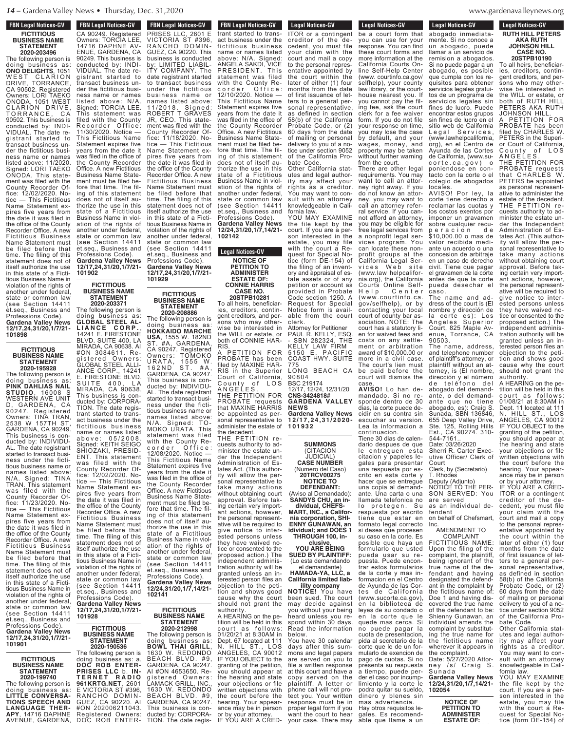**FBN Legal Notices-GV FICTITIOUS BUSINESS NAME STATEMENT**

**2020-203496** The following person is doing business as: **ONO DELIGHTS**, 1051 WEST CLARION DRIVE, TORRANCE, CA 90502. Registered Owners: LORI TAEKO ONODA, 1051 WEST CLARION DRIVE, TORRANCE, CA 90502. This business is conducted by: INDI-VIDUAL. The date registrant started to transact business under the fictitious business name or names listed above: 11/2020. Signed: LORI TAEKO ONODA. This statement was filed with the County Recorder Office: 12/02/2020. No-<br>tice — This Fictitious This Fictitious Name Statement expires five years from the date it was filed in the office of the County Recorder Office. A new Fictitious Business Name Statement must be filed before that time. The filing of this statement does not of itself authorize the use in this state of a Fictitious Business Name in violation of the rights of another under federal state or common law (see Section 1441 et.seq., Business and Professions Code). **Gardena Valley News 12/17,24,31/20,1/7/21- 101898**

**FICTITIOUS BUSINESS NAME STATEMENT 2020-195928**

The following person is doing business as: **PINK DAHLIAS NAIL STUDIO**, 16008 WESTERN AVE UNIT<br>D, GARDENA, CA D, GARDENA, CA 90247. Registered Owners: TINA TRAN, 2538 W 157TH ST, GARDENA, CA 90249. This business is conducted by: INDIVIDU-AL. The date registrant started to transact business under the fictitious business name or names listed above: N/A. Signed: TINA TRAN. This statement was filed with the County Recorder Office: 11/23/2020. No-<br>tice - This Fictitious - This Fictitious Name Statement expires five years from the date it was filed in the office of the County Recorder Office. A new Fictitious Business Name Statement must be filed before that time. The filing of this statement does not of itself authorize the use in this state of a Fictitious Business Name in violation of the rights of another under federal, state or common law (see Section 14411 et.seq., Business and Professions Code). **Gardena Valley News 12/17,24,31/20,1/7/21- 101901**

**FICTITIOUS BUSINESS NAME STATEMENT**

**2020-199740** The following person is doing business as: **LITTLE CONVERSA-TIONS SPEECH AND LANGUAGE THER-APY**, 14716 DAPHNE AVENUE, GARDENA,

CA 90249. Registered

**FBN Legal Notices-GV POR LEGAL MULLES-CIV** PRISES LLC, 2601 E GUEZ, CA 90220. This ment was filed with the Name Statement exin this state of a Fictistate or common law (see Section 14411 et.seq., Business and Professions Code). **Gardena Valley News 12/17,24,31/20,1/7/21- FBN Legal Notices-GV FON LEGAL NUTTLES-CIV** CA 90249. Registered Owners: TORCIA LEE, 14716 DAPHNE AV-ENUE, GARDENA, CA 90249. This business is conducted by: INDI-VIDUAL. The date registrant started to transact business under the fictitious business name or names listed above: N/A Signed: TORCIA LEE. This statement was filed with the County Recorder Office: 11/30/2020. Notice — This Fictitious Name Statement expires five years from the date it was filed in the office of the County Recorder Office. A new Fictitious Business Name Statement must be filed before that time. The filing of this statement does not of itself authorize the use in this state of a Fictitious Business Name in violation of the rights of another under federal, state or common law (see Section 14411 et.seq., Business and Professions Code). **Gardena Valley News 12/17,24,31/20,1/7/21- 101902**

**FICTITIOUS BUSINESS NAME** STATEMENT **2020-203371**

The following person is

**101929**

**FICTITIOUS BUSINESS NAME STATEMENT 2020-208886**

**FICTITIOUS BUSINESS NAME STATEMENT 2020-212998**

The following person is doing business as: **HOKKAIDO MARCHE USA**, 1555 W. 182ND ST. #A, GARDENA, CA 90247. Registered Owners: TOMOKO URATA, 1555 W. 162ND ST. #A, GARDENA, CA 90247. This business is conducted by: INDIVIDU-AL. The date registrant started to transact business under the fictitious business name or names listed above: N/A. Signed: TO-MOKO URATA. This statement was filed with the County Recorder Office: corder Office: 12/08/2020. Notice — This Fictitious Name Statement expires five years from the date it was filed in the office of the County Recorder Office. A new Fictitious Business Name Statement must be filed before that time. The filing of this statement does not of itself authorize the use in this state of a Fictitious Business Name in violation of the rights of another under federal, state or common law (see Section 14411 et.seq., Business and Professions Code). **Gardena Valley News 12/24,31/20,1/7,14/21- 102141** doing business as: **GLOBAL STEEL AL-L I A N C E C O R P .** , 14241 E. FIRESTONE BLVD. SUITE 400, LA MIRADA, CA 90638. AI #ON 3084611. Registered Owners: GLOBAL STEEL ALLI-ANCE CORP., 14241 E. FIRESTONE BLVD. SUITE 400, LA MIRADA, CA 90638. This business is conducted by: CORPORA-TION. The date registrant started to transact business under the fictitious business name or names listed a b o v e : 0 5 / 2 0 0 8 . Signed: KEITH SEIGO SHIOZAKI, PRESID-ENT. This statement was filed with the County Recorder Office: 12/02/2020. Notice — This Fictitious Name Statement expires five years from the date it was filed in the office of the County Recorder Office. A new Fictitious Business Name Statement must be filed before that time. The filing of this statement does not of itself authorize the use<br>in this state of a Fictistate of a Fictitious Business Name in violation of the rights of another under federal, state or common law (see Section 14411 et.seq., Business and Professions Code). **Gardena Valley News**

**101928 FICTITIOUS BUSINESS NAME STATEMENT**

**12/17,24,31/20,1/7/21-**

**2020-190536** The following person is doing business as: a. **DOC ROB ENTER-PRISES LLC** b. **IN-T E R N E T R A D I O 961KRTG.NET**, 2601 E VICTORIA ST #396, RANCHO DOMIN-<br>GUEZ, CA 90220. A GUEZ, CA 90220. AI #ON 202006211043. Registered Owners: DOC ROB ENTER-

**FBN Legal Notices-GV** TBN LEYAI NULLES-GV trant started to transact business under the fictitious business name or names listed above: N/A. Signed: ANGELA SAKDI, VICE PRESIDENT. This statement was filed with the County Recorder Office: 12/10/2020. Notice — This Fictitious Name Statement expires five years from the date it was filed in the office of the County Recorder Office. A new Fictitious Business Name Statement must be filed before that time. The filing of this statement does not of itself authorize the use in this state of a Fictitious Business Name in violation of the rights of another under federal, state or common law (see Section 14411 et.seq., Business and Professions Code). **Gardena Valley News 12/24,31/20,1/7,14/21- 102142** VICTORIA ST #396, RANCHO DOMINbusiness is conducted by: LIMITED LIABIL-ITY COMPANY. The date registrant started to transact business under the fictitious business name or names listed above: 11/2018. Signed: ROBERT T GRAVES JR, CEO. This state-County Recorder Office: 11/18/2020. Notice — This Fictitious pires five years from the date it was filed in the office of the County Recorder Office. A new Fictitious Business Name Statement must be filed before that time. The filing of this statement does not of itself authorize the use tious Business Name in violation of the rights of another under federal,

> **Legal Notices-GV NOTICE OF PETITION TO ADMINISTER ESTATE OF: CONNIE HARRIS CASE NO. 20STPB10281**

To all heirs, beneficiaries, creditors, contingent creditors, and persons who may otherwise be interested in the WILL or estate, or both of CONNIE HAR-**RIS** PETITION FOR PROBATE has been filed by MAXINE HAR-RIS in the Superior Court of California, County of LOS A N G E L E S . THE PETITION FOR PROBATE requests that MAXINE HARRIS be appointed as personal representative to administer the estate of the decedent. THE PETITION requests authority to administer the estate under the Independent Administration of Estates Act. (This authority will allow the personal representative to take many actions without obtaining court approval. Before takant actions, however, the personal representative will be required to give notice to inter-

j certain very importested persons unless they have waived notice or consented to the proposed action.) The independent administration authority will be granted unless an interested person files an objection to the petition and shows good cause why the court should not grant the

authority. A HEARING on the petition will be held in this court as follows: 01/20/21 at 8:30AM in Dept. 67 located at 111<br>N HILL ST LOS N. HILL ST., LOS ANGELES, CA 90012 IF YOU OBJECT to the granting of the petition, you should appear at the hearing and state your objections or file written objections with the court before the hearing. Your appearance may be in person or by your attorney. IF YOU ARE A CRED-The following person is doing business as: **BOWL THAI GRILL**, 1630 W. REDONDO BEACH BLVD. #9, GARDENA, CA 90247. AI #ON 4653650. Registered Owners: LAMACK GRILL, INC., 1630 W. REDONDO BEACH BLVD. #9, GARDENA, CA 90247. This business is conducted by: CORPORA-<br>TION. The date regis-<br>-

**Legal Notices-GV** Legal Nutrices-GV ITOR or a contingent creditor of the decedent, you must file your claim with the court and mail a copy to the personal representative appointed by the court within the later of either (1) four months from the date of first issuance of letters to a general personal representative.

as defined in section 58(b) of the California Probate Code, or (2) 60 days from the date of mailing or personal delivery to you of a notice under section 9052 of the California Probate Code. Other California statutes and legal author-

ity may affect your rights as a creditor. You may want to consult with an attorney knowledgeable in California law.

YOU MAY EXAMINE the file kept by the court. If you are a person interested in the estate, you may file with the court a Request for Special Notice (form DE-154) of the filing of an inventory and appraisal of estate assets or of any petition or account as .<br>provided in Probate Code section 1250. A Request for Special Notice form is available from the court

clerk. Attorney for Petitioner PAUL R. KELLY, ESQ. - SBN 282324, THE KELLY LAW FIRM 5150 E. PACIFIC COAST HWY. SUITE 775

90804 BSC 219174 12/17, 12/24, 12/31/20 **CNS-3424818# GARDENA VALLEY NEWS Gardena Valley News**

> **SUMMONS** (CITACION JUDICIAL)

(Numero del Caso) **20TRCV00275 NOTICE TO DEFENDANT:**

**dividual, CHEFS-**

**ENNY GUNAWAN, an idividual; and DOES 1 THROUGH 100, in-**

**SUED BY PLAINTIFF:** (Lo esta demandando

**California limited liability company NOTICE!** You have been sued. The court

you without your being heard unless you respond within 30 days. Read the information below.

response must be in proper legal form if you want the court to hear your case. There may

be a court form that

**Legal Notices-GV** Legal Nutries-GV

be a court form that you can use for your response. You can find these court forms and more information at the California Courts Online Self-Help Center (www. courtinfo.ca.gov/ selfhelp), your county law library, or the courthouse nearest you. If you cannot pay the filing fee, ask the court clerk for a fee waiver form. If you do not file your response on time, you may lose the case by default, and your wages, money, and property may be taken without further warning from the court.

nom the court.<br>There are other legal requirements. You may want to call an attorney right away. If you do not know an attorney, you may want to call an attorney referral service. If you cannot afford an attorney, you may be eligible for free legal services from a nonprofit legal services program. You can locate these nonprofit groups at the California Legal Services Web site (www.law helpcalifornia.org), the California Courts Online Self-Help Center (www.courtinfo.ca. gov/selfhelp), or by contacting your local court of county bar association. NOTE: The court has a statutory lien for waived fees and costs on any settlement or arbitration award of \$10,000.00 or more in a civil case. The court's lien must be paid before the court will dismiss the case.

**AVISO!** Lo han demandado. Si no responde dentro de 30 dias, la corte puede decidir en su contra sin escuchar su version. Lea la informacion a continuacion.

utive Officer/ Clerk of SON SERVED: You are served as an individual defendent on behalf of Chefsmart, Inc. covered the true name of the defendant to be: Shienny Gunawan, an individual amends the<br>complaint by substitutthe fictitious name Date: 5/27/2020 Attorney /s/ Craig S. S u n a d a **Gardena Valley News** Tiene 30 dias de calendario despues de que le entreguen esta citacion y papeles legales para presentar una respuesta por escrito en esta corte y hacer que se entregue una copia al demandante. Una carta o una llamada telefonica no lo protegen. Su respuesta por escrito tiene que estar en formato legal correcto si desea que procesen su caso en la corte. Es posible que haya un formularlo que usted pueda usar su repuesta. Puede encontrar estos formularios de la corte y mas informacion en el Centro de Ayunda de las Corde California (www.sucorte.ca.gov), en la biblioteca leyes de su condado o en la corte que le quede mas cerca. Si no puede pagar la cuota de presentacion, pida al secretario de la corte que le de un formularlo de exencion de pago de cuotas. Si no presenta su respuesta a tiempo, puede perder el caso por incumplimiento y la corte le podra quitar su sueldo, dinero y blenes sin mas advertencia.

Hay otros requisitos legales. Es recomend-<br>able que llame a un

**NOTICE OF** www.gardenavalleynews  $\ldots$   $\ldots$   $\ldots$   $\ldots$ 

**Legal Notices-GV ADMINISTER Legal Notices-GV** Legal Nutles-GV

Legal Services, (www.lawhelpcalifornia, org), en el Centro de Ayunda de las Cortes de California, (www.sucorte ca gov) o poniendose en contacto con la corte o el colegio de abogados

AVISO! Por ley, la corte tiene derecho a reclamar las cuotas y los costos exentos por imponer un gravamen sobre cualquier recuperacion de \$10,000.00 o mas de valor recibida mediante un acuerdo o una concesion de arbitraje en un caso de derecho civil. Tiene que pagar el gravamen de la corte antes de que la corte pueda desechar el

The name and address of the court is (El nombre y dirección de la corte es): Los Angeles Superior Court, 825 Maple Avenue, Torrance, CA

The name, address, and telephone number of plaintiff's attorney, or plaintiff without an attorney, is (El nombre, dirección y el número de teléfono del abogado del demandante, o del demandante que no tiene abogado, es): Craig S. Sunada, SBN 136846, 655 Deep Valley Drive, Ste. 125, Rolling Hills Est., CA 90274. 310-

locales.

caso.

90503.

544-7161.. Date: 03/26/2020 Sherri R. Carter Exec-

T. Rhodes Deputy (Adjunto) NOTICE TO THE PER-

Clerk, by (Secretario)

AMENDMENT TO COMPLAINT FICTITIOUS NAME: Upon the filing of the complaint, the plaintiff, being ignorant of the true name of the defendant and having designated the defendant in the complaint by the fictitious name of: Doe 1 and having dis-

ing the true name for

wherever it appears in the complaint.

**12/24,31/20,1/7,14/21- 102054 NOTICE OF PETITION TO ADMINISTER ESTATE OF:** 

Court

**ESTATE OF: RUTH HILL PETERS AKA RUTH JOHNSON HILL CASE NO. 20STPB10190** To all heirs, beneficiaries, creditors, contingent creditors, and persons who may otherwise be interested in the WILL or estate, or both of RUTH HILL PETERS AKA RUTH JOHNSON HILL. abogado inmediatamente. Si no conoce a un abogado, puede llamar a un servicio de remision a abogados. Si no puede pagar a un abogado, es posible que cumpla con los reque campla con loc 10 servicios legales gratuitos de un programa de servicios legales sin fines de lucro. Puede encontrar estos grupos sin fines de lucro en el sitio web de California

A PETITION FOR PROBATE has been filed by CHARLES W. PETERS in the Superior Court of California, County of LOS A N G E L E S .

THE PETITION FOR PROBATE requests that CHARLES W. PETERS be appointed as personal representative to administer the estate of the decedent. THE PETITION requests authority to administer the estate under the Independent Administration of Estates Act. (This authority will allow the personal representative to take many actions without obtaining court approval. Before taking certain very important actions, however, the personal representative will be required to give notice to interested persons unless they have waived notice or consented to the proposed action.) The independent administration authority will be granted unless an interested person files an objection to the peti-

tion and shows good cause why the court should not grant the authority. A HEARING on the petition will be held in this

court as follows: 01/08/21 at 8:30AM in Dept. 11 located at 111 N. HILL ST., LOS ANGELES, CA 90012 IF YOU OBJECT to the granting of the petition, you should appear at the hearing and state your objections or file written objections with the court before the hearing. Your appearance may be in person

or by your attorney. IF YOU ARE A CRED-ITOR or a contingent creditor of the decedent, you must file your claim with the court and mail a copy to the personal representative appointed by the court within the later of either (1) four months from the date of first issuance of letters to a general personal representative, as defined in section 58(b) of the California Probate Code, or (2) 60 days from the date of mailing or personal delivery to you of a notice under section 9052 of the California Pro-

bate Code. Other California statutes and legal authority may affect your rights as a creditor. You may want to consult with an attorney knowledgeable in Cali-

fornia law. YOU MAY EXAMINE the file kept by the court. If you are a person interested in the estate, you may file with the court a Request for Special Notice (form DE-154) of

the filing of an invent-

**CASE NUMBER**

(Aviso al Demandado): **SANDYS CHU, an in-MART, INC., a California corporation, SHI-**

> **clusive, YOU ARE BEING**

el demandante) **HAMADA-YA, LLC, a**

may decide against

You have 30 calendar days after this summons and legal papers are served on you to file a written response at this court and have a copy served on the plaintiff. A letter or phone call will not protect you. Your written